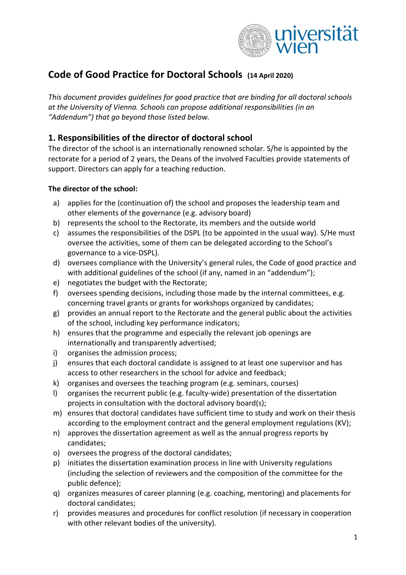

# **Code of Good Practice for Doctoral Schools (14 April 2020)**

*This document provides guidelines for good practice that are binding for all doctoral schools at the University of Vienna. Schools can propose additional responsibilities (in an "Addendum") that go beyond those listed below.*

## **1. Responsibilities of the director of doctoral school**

The director of the school is an internationally renowned scholar. S/he is appointed by the rectorate for a period of 2 years, the Deans of the involved Faculties provide statements of support. Directors can apply for a teaching reduction.

#### **The director of the school:**

- a) applies for the (continuation of) the school and proposes the leadership team and other elements of the governance (e.g. advisory board)
- b) represents the school to the Rectorate, its members and the outside world
- c) assumes the responsibilities of the DSPL (to be appointed in the usual way). S/He must oversee the activities, some of them can be delegated according to the School's governance to a vice-DSPL).
- d) oversees compliance with the University's general rules, the Code of good practice and with additional guidelines of the school (if any, named in an "addendum");
- e) negotiates the budget with the Rectorate;
- f) oversees spending decisions, including those made by the internal committees, e.g. concerning travel grants or grants for workshops organized by candidates;
- g) provides an annual report to the Rectorate and the general public about the activities of the school, including key performance indicators;
- h) ensures that the programme and especially the relevant job openings are internationally and transparently advertised;
- i) organises the admission process;
- j) ensures that each doctoral candidate is assigned to at least one supervisor and has access to other researchers in the school for advice and feedback;
- k) organises and oversees the teaching program (e.g. seminars, courses)
- l) organises the recurrent public (e.g. faculty-wide) presentation of the dissertation projects in consultation with the doctoral advisory board(s);
- m) ensures that doctoral candidates have sufficient time to study and work on their thesis according to the employment contract and the general employment regulations (KV);
- n) approves the dissertation agreement as well as the annual progress reports by candidates;
- o) oversees the progress of the doctoral candidates;
- p) initiates the dissertation examination process in line with University regulations (including the selection of reviewers and the composition of the committee for the public defence);
- q) organizes measures of career planning (e.g. coaching, mentoring) and placements for doctoral candidates;
- r) provides measures and procedures for conflict resolution (if necessary in cooperation with other relevant bodies of the university).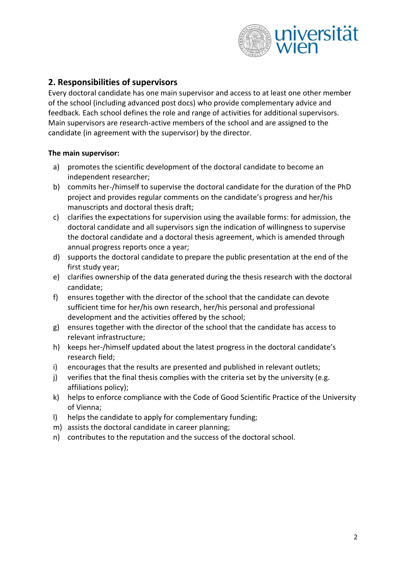

## **2. Responsibilities of supervisors**

Every doctoral candidate has one main supervisor and access to at least one other member of the school (including advanced post docs) who provide complementary advice and feedback. Each school defines the role and range of activities for additional supervisors. Main supervisors are research-active members of the school and are assigned to the candidate (in agreement with the supervisor) by the director.

#### **The main supervisor:**

- a) promotes the scientific development of the doctoral candidate to become an independent researcher;
- b) commits her-/himself to supervise the doctoral candidate for the duration of the PhD project and provides regular comments on the candidate's progress and her/his manuscripts and doctoral thesis draft;
- c) clarifies the expectations for supervision using the available forms: for admission, the doctoral candidate and all supervisors sign the indication of willingness to supervise the doctoral candidate and a doctoral thesis agreement, which is amended through annual progress reports once a year;
- d) supports the doctoral candidate to prepare the public presentation at the end of the first study year;
- e) clarifies ownership of the data generated during the thesis research with the doctoral candidate;
- f) ensures together with the director of the school that the candidate can devote sufficient time for her/his own research, her/his personal and professional development and the activities offered by the school;
- g) ensures together with the director of the school that the candidate has access to relevant infrastructure;
- h) keeps her-/himself updated about the latest progress in the doctoral candidate's research field;
- i) encourages that the results are presented and published in relevant outlets;
- j) verifies that the final thesis complies with the criteria set by the university (e.g. affiliations policy);
- k) helps to enforce compliance with the Code of Good Scientific Practice of the University of Vienna;
- l) helps the candidate to apply for complementary funding;
- m) assists the doctoral candidate in career planning;
- n) contributes to the reputation and the success of the doctoral school.